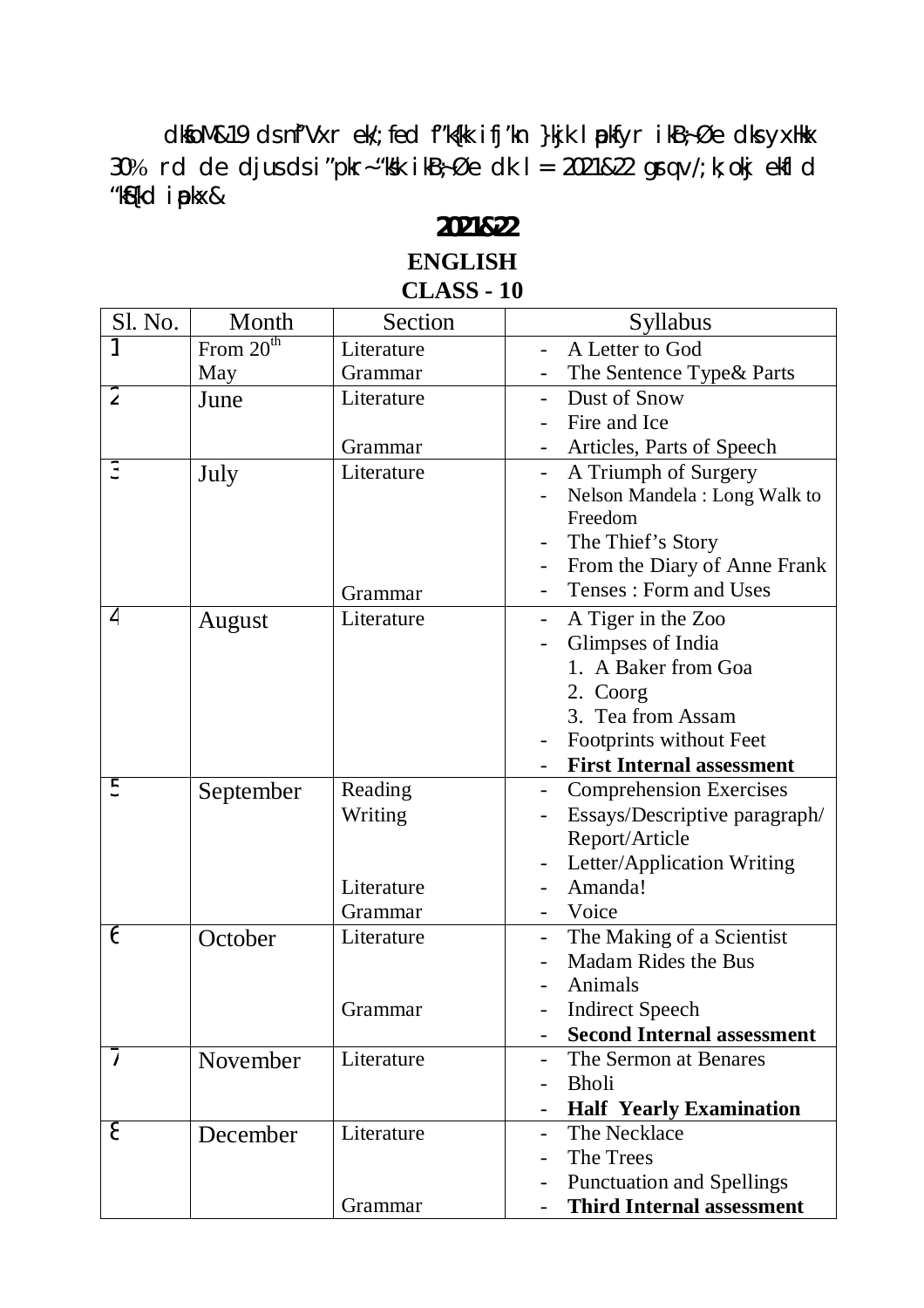dkfoM&19 ds nf'Vxr ek/; fed f"k{kk ifj'kn }kjk lpkfyr ikB;Øe dks yxHkx 30% rd de djus ds i "pkr-"ksk ikB $\frac{1}{2}$ Øe dk l = 2021&22 grq v/; k; okj ekfl d "kSf{kd iapkx&

## **2021&22 ENGLISH**

## **CLASS - 10**

| Sl. No.        | Month       | Section    | Syllabus                                         |
|----------------|-------------|------------|--------------------------------------------------|
|                | From $20th$ | Literature | A Letter to God                                  |
|                | May         | Grammar    | The Sentence Type & Parts                        |
| $\overline{2}$ | June        | Literature | Dust of Snow                                     |
|                |             |            | Fire and Ice                                     |
|                |             | Grammar    | Articles, Parts of Speech                        |
| 3              | July        | Literature | A Triumph of Surgery<br>$\overline{\phantom{a}}$ |
|                |             |            | Nelson Mandela: Long Walk to                     |
|                |             |            | Freedom                                          |
|                |             |            | The Thief's Story                                |
|                |             |            | From the Diary of Anne Frank                     |
|                |             | Grammar    | Tenses: Form and Uses                            |
| 4              | August      | Literature | A Tiger in the Zoo                               |
|                |             |            | Glimpses of India                                |
|                |             |            | 1. A Baker from Goa                              |
|                |             |            | 2. Coorg                                         |
|                |             |            | 3. Tea from Assam                                |
|                |             |            | Footprints without Feet                          |
|                |             |            | <b>First Internal assessment</b>                 |
| 5              | September   | Reading    | <b>Comprehension Exercises</b>                   |
|                |             | Writing    | Essays/Descriptive paragraph/                    |
|                |             |            | Report/Article                                   |
|                |             |            | Letter/Application Writing                       |
|                |             | Literature | Amanda!                                          |
|                |             | Grammar    | Voice                                            |
| 6              | October     | Literature | The Making of a Scientist                        |
|                |             |            | <b>Madam Rides the Bus</b>                       |
|                |             |            | Animals                                          |
|                |             | Grammar    | <b>Indirect Speech</b>                           |
|                |             |            | <b>Second Internal assessment</b>                |
| 7              | November    | Literature | The Sermon at Benares                            |
|                |             |            | <b>Bholi</b>                                     |
|                |             |            | <b>Half Yearly Examination</b>                   |
| 8              | December    | Literature | The Necklace<br>$\overline{\phantom{0}}$         |
|                |             |            | The Trees                                        |
|                |             |            | <b>Punctuation and Spellings</b>                 |
|                |             | Grammar    | <b>Third Internal assessment</b>                 |